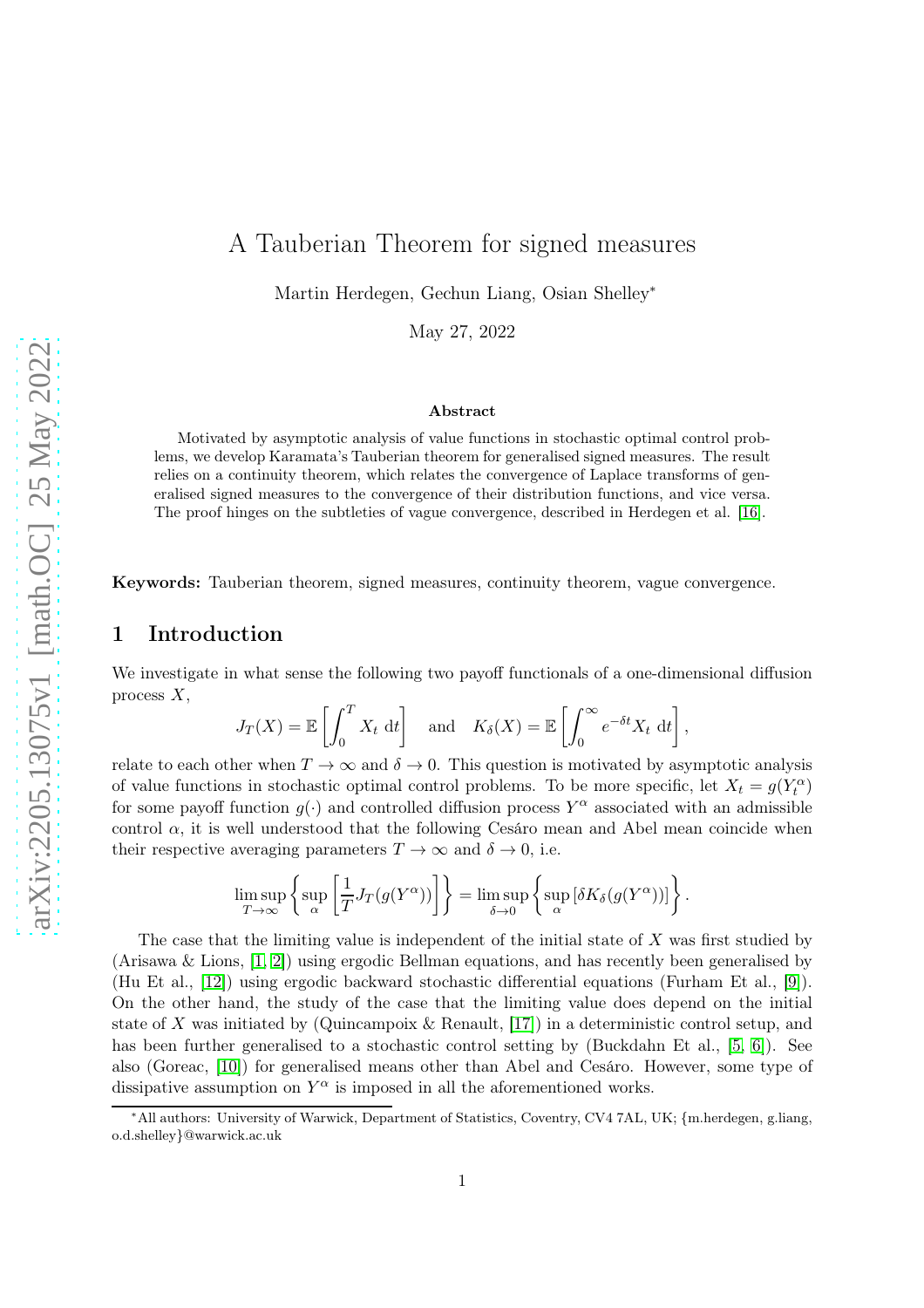# A Tauberian Theorem for signed measures

Martin Herdegen, Gechun Liang, Osian Shelley<sup>∗</sup>

May 27, 2022

#### Abstract

Motivated by asymptotic analysis of value functions in stochastic optimal control problems, we develop Karamata's Tauberian theorem for generalised signed measures. The result relies on a continuity theorem, which relates the convergence of Laplace transforms of generalised signed measures to the convergence of their distribution functions, and vice versa. The proof hinges on the subtleties of vague convergence, described in Herdegen et al. [\[16\]](#page-13-0).

Keywords: Tauberian theorem, signed measures, continuity theorem, vague convergence.

### 1 Introduction

We investigate in what sense the following two payoff functionals of a one-dimensional diffusion process  $X$ ,

$$
J_T(X) = \mathbb{E}\left[\int_0^T X_t dt\right]
$$
 and  $K_\delta(X) = \mathbb{E}\left[\int_0^\infty e^{-\delta t} X_t dt\right]$ ,

relate to each other when  $T \to \infty$  and  $\delta \to 0$ . This question is motivated by asymptotic analysis of value functions in stochastic optimal control problems. To be more specific, let  $X_t = g(Y_t^{\alpha})$ for some payoff function  $g(\cdot)$  and controlled diffusion process  $Y^{\alpha}$  associated with an admissible control  $\alpha$ , it is well understood that the following Cesáro mean and Abel mean coincide when their respective averaging parameters  $T \to \infty$  and  $\delta \to 0$ , i.e.

$$
\limsup_{T \to \infty} \left\{ \sup_{\alpha} \left[ \frac{1}{T} J_T(g(Y^{\alpha})) \right] \right\} = \limsup_{\delta \to 0} \left\{ \sup_{\alpha} \left[ \delta K_{\delta}(g(Y^{\alpha})) \right] \right\}.
$$

The case that the limiting value is independent of the initial state of X was first studied by (Arisawa & Lions, [\[1,](#page-12-0) [2\]](#page-12-1)) using ergodic Bellman equations, and has recently been generalised by (Hu Et al., [\[12\]](#page-12-2)) using ergodic backward stochastic differential equations (Furham Et al., [\[9\]](#page-12-3)). On the other hand, the study of the case that the limiting value does depend on the initial state of X was initiated by (Quincampoix & Renault,  $[17]$ ) in a deterministic control setup, and has been further generalised to a stochastic control setting by (Buckdahn Et al., [\[5,](#page-12-4) [6\]](#page-12-5)). See also (Goreac, [\[10\]](#page-12-6)) for generalised means other than Abel and Cesáro. However, some type of dissipative assumption on  $Y^{\alpha}$  is imposed in all the aforementioned works.

<sup>∗</sup>All authors: University of Warwick, Department of Statistics, Coventry, CV4 7AL, UK; {m.herdegen, g.liang, o.d.shelley}@warwick.ac.uk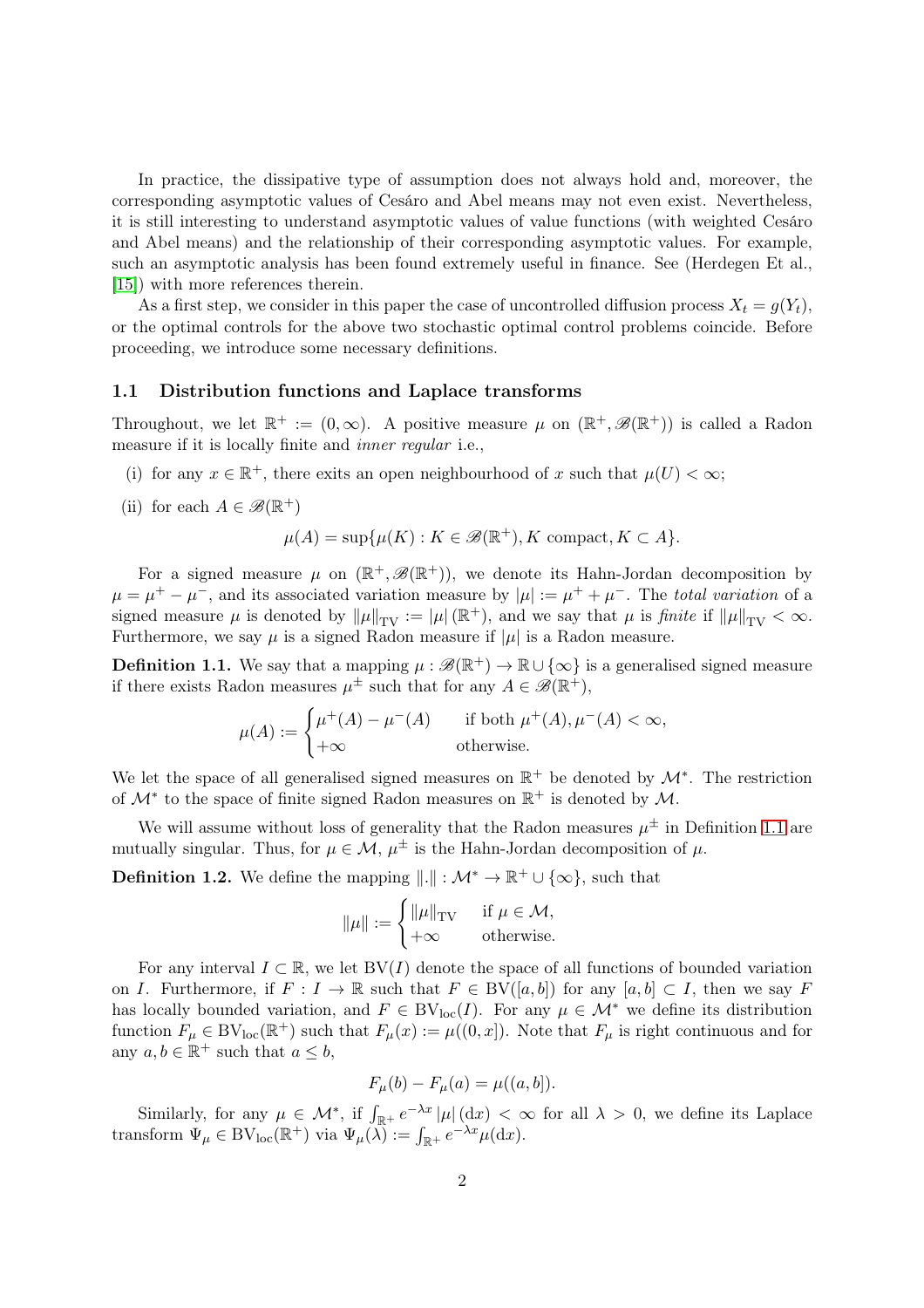In practice, the dissipative type of assumption does not always hold and, moreover, the corresponding asymptotic values of Cesáro and Abel means may not even exist. Nevertheless, it is still interesting to understand asymptotic values of value functions (with weighted Cesáro and Abel means) and the relationship of their corresponding asymptotic values. For example, such an asymptotic analysis has been found extremely useful in finance. See (Herdegen Et al., [\[15\]](#page-13-2)) with more references therein.

As a first step, we consider in this paper the case of uncontrolled diffusion process  $X_t = q(Y_t)$ , or the optimal controls for the above two stochastic optimal control problems coincide. Before proceeding, we introduce some necessary definitions.

#### 1.1 Distribution functions and Laplace transforms

Throughout, we let  $\mathbb{R}^+ := (0, \infty)$ . A positive measure  $\mu$  on  $(\mathbb{R}^+, \mathscr{B}(\mathbb{R}^+))$  is called a Radon measure if it is locally finite and inner regular i.e.,

- (i) for any  $x \in \mathbb{R}^+$ , there exits an open neighbourhood of x such that  $\mu(U) < \infty$ ;
- (ii) for each  $A \in \mathscr{B}(\mathbb{R}^+)$

$$
\mu(A) = \sup \{ \mu(K) : K \in \mathcal{B}(\mathbb{R}^+), K \text{ compact}, K \subset A \}.
$$

For a signed measure  $\mu$  on  $(\mathbb{R}^+, \mathscr{B}(\mathbb{R}^+))$ , we denote its Hahn-Jordan decomposition by  $\mu = \mu^+ - \mu^-$ , and its associated variation measure by  $|\mu| := \mu^+ + \mu^-$ . The *total variation* of a signed measure  $\mu$  is denoted by  $\|\mu\|_{TV} := |\mu|(\mathbb{R}^+)$ , and we say that  $\mu$  is finite if  $\|\mu\|_{TV} < \infty$ . Furthermore, we say  $\mu$  is a signed Radon measure if  $|\mu|$  is a Radon measure.

<span id="page-1-0"></span>**Definition 1.1.** We say that a mapping  $\mu : \mathscr{B}(\mathbb{R}^+) \to \mathbb{R} \cup {\infty}$  is a generalised signed measure if there exists Radon measures  $\mu^{\pm}$  such that for any  $A \in \mathscr{B}(\mathbb{R}^+),$ 

$$
\mu(A) := \begin{cases} \mu^+(A) - \mu^-(A) & \text{if both } \mu^+(A), \mu^-(A) < \infty, \\ +\infty & \text{otherwise.} \end{cases}
$$

We let the space of all generalised signed measures on  $\mathbb{R}^+$  be denoted by  $\mathcal{M}^*$ . The restriction of  $\mathcal{M}^*$  to the space of finite signed Radon measures on  $\mathbb{R}^+$  is denoted by  $\mathcal{M}$ .

We will assume without loss of generality that the Radon measures  $\mu^{\pm}$  in Definition [1.1](#page-1-0) are mutually singular. Thus, for  $\mu \in \mathcal{M}$ ,  $\mu^{\pm}$  is the Hahn-Jordan decomposition of  $\mu$ .

**Definition 1.2.** We define the mapping  $\|\cdot\| : \mathcal{M}^* \to \mathbb{R}^+ \cup \{\infty\}$ , such that

$$
\|\mu\| := \begin{cases} \|\mu\|_{\text{TV}} & \text{if } \mu \in \mathcal{M}, \\ +\infty & \text{otherwise.} \end{cases}
$$

For any interval  $I \subset \mathbb{R}$ , we let BV(I) denote the space of all functions of bounded variation on I. Furthermore, if  $F: I \to \mathbb{R}$  such that  $F \in BV([a, b])$  for any  $[a, b] \subset I$ , then we say F has locally bounded variation, and  $F \in BV_{loc}(I)$ . For any  $\mu \in \mathcal{M}^*$  we define its distribution function  $F_{\mu} \in BV_{loc}(\mathbb{R}^+)$  such that  $F_{\mu}(x) := \mu((0, x])$ . Note that  $F_{\mu}$  is right continuous and for any  $a, b \in \mathbb{R}^+$  such that  $a \leq b$ ,

$$
F_{\mu}(b) - F_{\mu}(a) = \mu((a, b]).
$$

Similarly, for any  $\mu \in \mathcal{M}^*$ , if  $\int_{\mathbb{R}^+} e^{-\lambda x} |\mu| (dx) < \infty$  for all  $\lambda > 0$ , we define its Laplace transform  $\Psi_{\mu} \in BV_{loc}(\mathbb{R}^+)$  via  $\Psi_{\mu}(\tilde{\lambda}) := \int_{\mathbb{R}^+} e^{-\lambda x} \mu(dx)$ .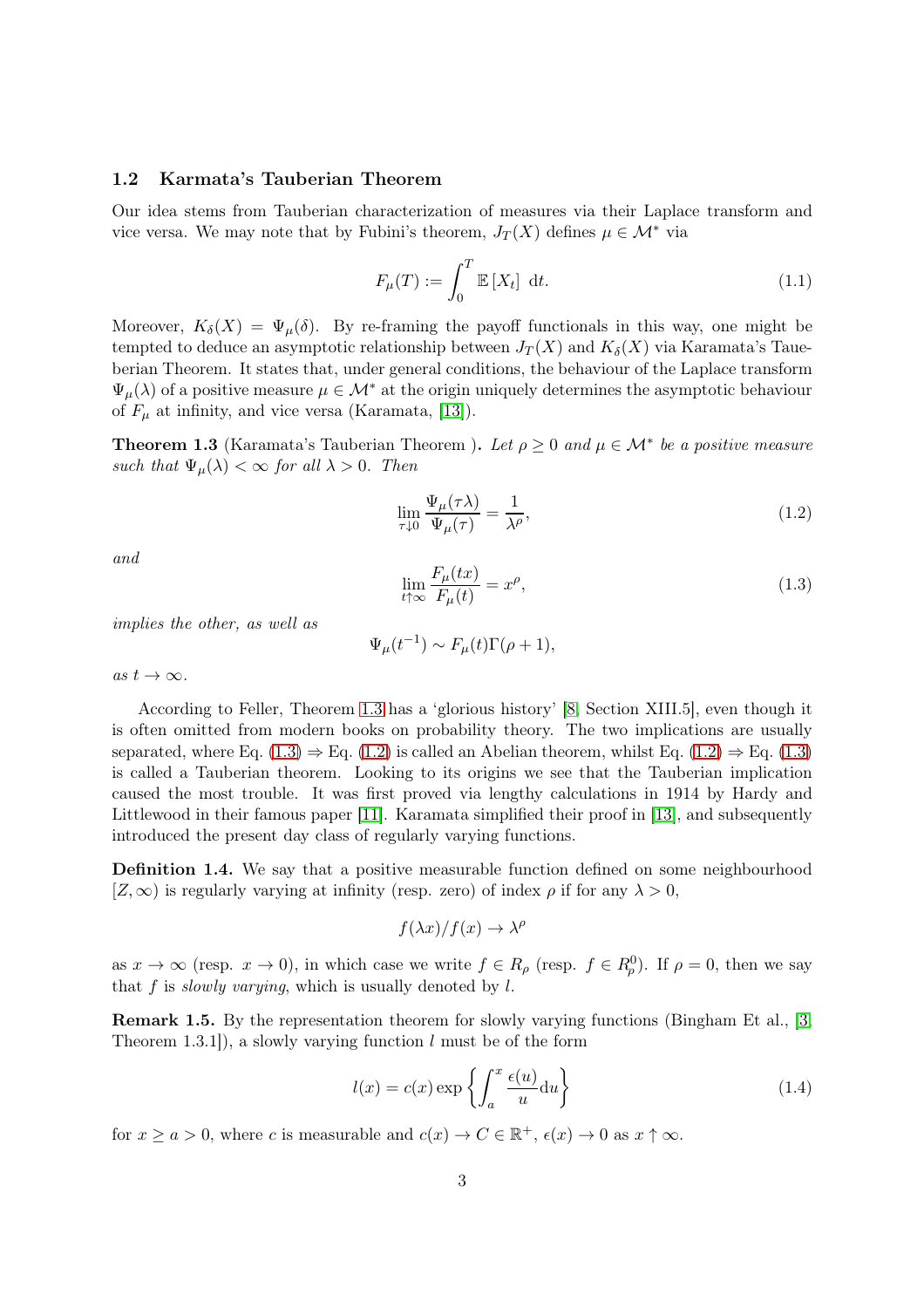### 1.2 Karmata's Tauberian Theorem

Our idea stems from Tauberian characterization of measures via their Laplace transform and vice versa. We may note that by Fubini's theorem,  $J_T(X)$  defines  $\mu \in \mathcal{M}^*$  via

<span id="page-2-4"></span>
$$
F_{\mu}(T) := \int_0^T \mathbb{E}\left[X_t\right] \, \mathrm{d}t. \tag{1.1}
$$

Moreover,  $K_{\delta}(X) = \Psi_{\mu}(\delta)$ . By re-framing the payoff functionals in this way, one might be tempted to deduce an asymptotic relationship between  $J_T(X)$  and  $K_{\delta}(X)$  via Karamata's Taueberian Theorem. It states that, under general conditions, the behaviour of the Laplace transform  $\Psi_{\mu}(\lambda)$  of a positive measure  $\mu \in \mathcal{M}^*$  at the origin uniquely determines the asymptotic behaviour of  $F_{\mu}$  at infinity, and vice versa (Karamata, [\[13\]](#page-12-7)).

<span id="page-2-0"></span>**Theorem 1.3** (Karamata's Tauberian Theorem). Let  $\rho \geq 0$  and  $\mu \in \mathcal{M}^*$  be a positive measure such that  $\Psi_{\mu}(\lambda) < \infty$  for all  $\lambda > 0$ . Then

<span id="page-2-2"></span>
$$
\lim_{\tau \downarrow 0} \frac{\Psi_{\mu}(\tau \lambda)}{\Psi_{\mu}(\tau)} = \frac{1}{\lambda^{\rho}},\tag{1.2}
$$

and

<span id="page-2-1"></span>
$$
\lim_{t \uparrow \infty} \frac{F_{\mu}(tx)}{F_{\mu}(t)} = x^{\rho},\tag{1.3}
$$

implies the other, as well as

$$
\Psi_{\mu}(t^{-1}) \sim F_{\mu}(t)\Gamma(\rho + 1),
$$

as  $t \to \infty$ .

According to Feller, Theorem [1.3](#page-2-0) has a 'glorious history' [\[8,](#page-12-8) Section XIII.5], even though it is often omitted from modern books on probability theory. The two implications are usually separated, where Eq.  $(1.3) \Rightarrow$  Eq.  $(1.2)$  is called an Abelian theorem, whilst Eq.  $(1.2) \Rightarrow$  Eq.  $(1.3)$ is called a Tauberian theorem. Looking to its origins we see that the Tauberian implication caused the most trouble. It was first proved via lengthy calculations in 1914 by Hardy and Littlewood in their famous paper [\[11\]](#page-12-9). Karamata simplified their proof in [\[13\]](#page-12-7), and subsequently introduced the present day class of regularly varying functions.

Definition 1.4. We say that a positive measurable function defined on some neighbourhood  $[Z,\infty)$  is regularly varying at infinity (resp. zero) of index  $\rho$  if for any  $\lambda > 0$ ,

$$
f(\lambda x)/f(x) \to \lambda^{\rho}
$$

as  $x \to \infty$  (resp.  $x \to 0$ ), in which case we write  $f \in R_\rho$  (resp.  $f \in R_\rho^0$ ). If  $\rho = 0$ , then we say that f is *slowly varying*, which is usually denoted by  $l$ .

<span id="page-2-3"></span>Remark 1.5. By the representation theorem for slowly varying functions (Bingham Et al., [\[3,](#page-12-10) Theorem 1.3.1, a slowly varying function  $l$  must be of the form

<span id="page-2-5"></span>
$$
l(x) = c(x) \exp\left\{ \int_{a}^{x} \frac{\epsilon(u)}{u} du \right\}
$$
 (1.4)

for  $x \ge a > 0$ , where c is measurable and  $c(x) \to C \in \mathbb{R}^+$ ,  $\epsilon(x) \to 0$  as  $x \uparrow \infty$ .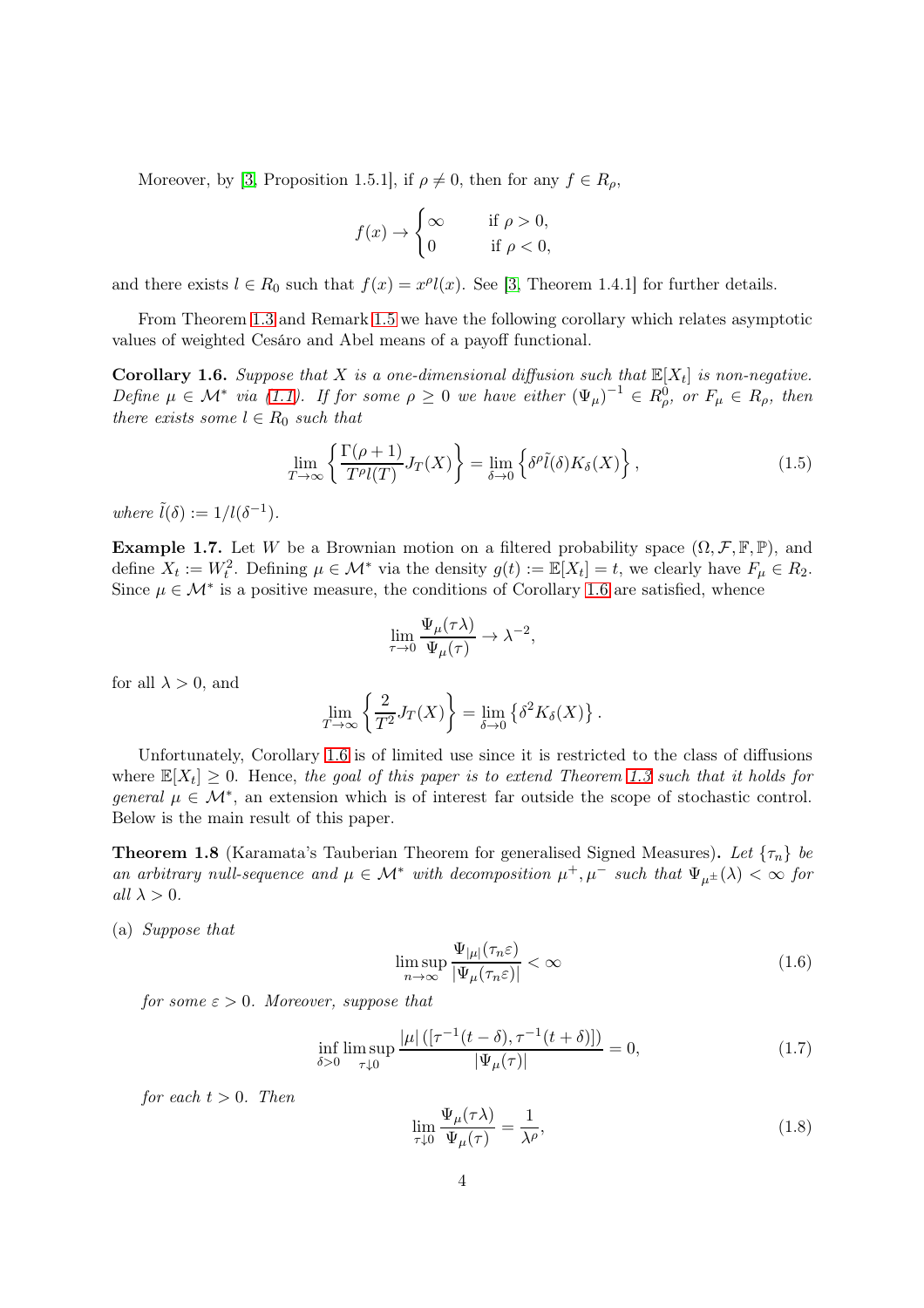Moreover, by [\[3,](#page-12-10) Proposition 1.5.1], if  $\rho \neq 0$ , then for any  $f \in R_\rho$ ,

$$
f(x) \to \begin{cases} \infty & \text{if } \rho > 0, \\ 0 & \text{if } \rho < 0, \end{cases}
$$

and there exists  $l \in R_0$  such that  $f(x) = x^{\rho}l(x)$ . See [\[3,](#page-12-10) Theorem 1.4.1] for further details.

<span id="page-3-0"></span>From Theorem [1.3](#page-2-0) and Remark [1.5](#page-2-3) we have the following corollary which relates asymptotic values of weighted Cesáro and Abel means of a payoff functional.

**Corollary 1.6.** Suppose that X is a one-dimensional diffusion such that  $\mathbb{E}[X_t]$  is non-negative. Define  $\mu \in \mathcal{M}^*$  via [\(1.1\)](#page-2-4). If for some  $\rho \geq 0$  we have either  $(\Psi_{\mu})^{-1} \in R^0_{\rho}$ , or  $F_{\mu} \in R_{\rho}$ , then there exists some  $l \in R_0$  such that

$$
\lim_{T \to \infty} \left\{ \frac{\Gamma(\rho + 1)}{T^{\rho} l(T)} J_T(X) \right\} = \lim_{\delta \to 0} \left\{ \delta^{\rho} \tilde{l}(\delta) K_{\delta}(X) \right\},\tag{1.5}
$$

<span id="page-3-5"></span>where  $\tilde{l}(\delta) := 1/l(\delta^{-1}).$ 

**Example 1.7.** Let W be a Brownian motion on a filtered probability space  $(\Omega, \mathcal{F}, \mathbb{F}, \mathbb{P})$ , and define  $X_t := W_t^2$ . Defining  $\mu \in \mathcal{M}^*$  via the density  $g(t) := \mathbb{E}[X_t] = t$ , we clearly have  $F_{\mu} \in R_2$ . Since  $\mu \in \mathcal{M}^*$  is a positive measure, the conditions of Corollary [1.6](#page-3-0) are satisfied, whence

$$
\lim_{\tau \to 0} \frac{\Psi_{\mu}(\tau \lambda)}{\Psi_{\mu}(\tau)} \to \lambda^{-2},
$$

for all  $\lambda > 0$ , and

$$
\lim_{T \to \infty} \left\{ \frac{2}{T^2} J_T(X) \right\} = \lim_{\delta \to 0} \left\{ \delta^2 K_{\delta}(X) \right\}.
$$

Unfortunately, Corollary [1.6](#page-3-0) is of limited use since it is restricted to the class of diffusions where  $\mathbb{E}[X_t] \geq 0$ . Hence, the goal of this paper is to extend Theorem [1.3](#page-2-0) such that it holds for general  $\mu \in \mathcal{M}^*$ , an extension which is of interest far outside the scope of stochastic control. Below is the main result of this paper.

<span id="page-3-4"></span>**Theorem 1.8** (Karamata's Tauberian Theorem for generalised Signed Measures). Let  $\{\tau_n\}$  be an arbitrary null-sequence and  $\mu \in \mathcal{M}^*$  with decomposition  $\mu^+, \mu^-$  such that  $\Psi_{\mu^{\pm}}(\lambda) < \infty$  for all  $\lambda > 0$ .

(a) Suppose that

<span id="page-3-2"></span>
$$
\limsup_{n \to \infty} \frac{\Psi_{|\mu|}(\tau_n \varepsilon)}{|\Psi_{\mu}(\tau_n \varepsilon)|} < \infty \tag{1.6}
$$

for some  $\varepsilon > 0$ . Moreover, suppose that

<span id="page-3-3"></span>
$$
\inf_{\delta > 0} \limsup_{\tau \downarrow 0} \frac{|\mu| \left( [\tau^{-1}(t-\delta), \tau^{-1}(t+\delta)] \right)}{|\Psi_{\mu}(\tau)|} = 0,\tag{1.7}
$$

for each  $t > 0$ . Then

<span id="page-3-1"></span>
$$
\lim_{\tau \downarrow 0} \frac{\Psi_{\mu}(\tau \lambda)}{\Psi_{\mu}(\tau)} = \frac{1}{\lambda^{\rho}},\tag{1.8}
$$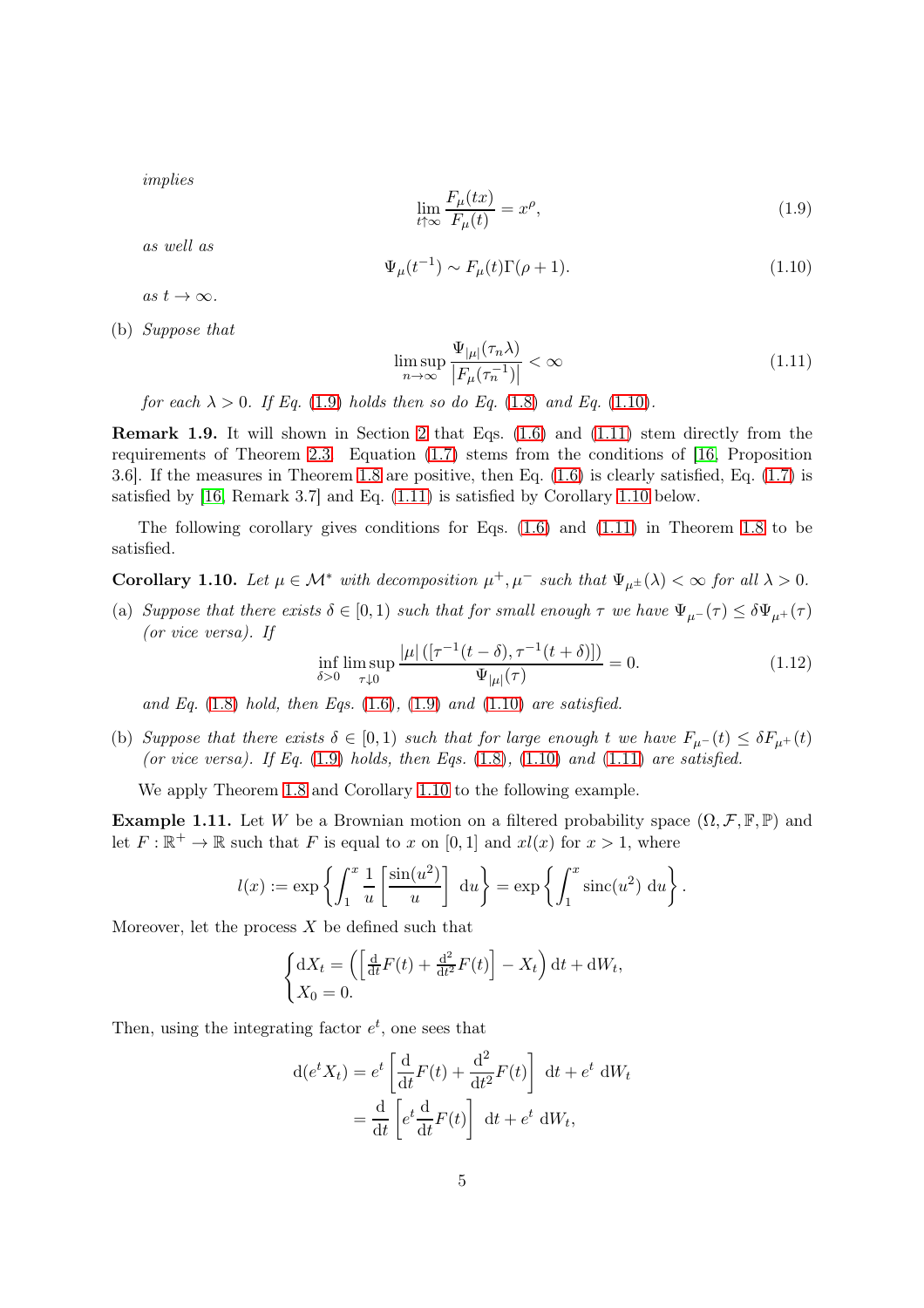implies

<span id="page-4-0"></span>
$$
\lim_{t \uparrow \infty} \frac{F_{\mu}(tx)}{F_{\mu}(t)} = x^{\rho},\tag{1.9}
$$

as well as

<span id="page-4-1"></span>
$$
\Psi_{\mu}(t^{-1}) \sim F_{\mu}(t)\Gamma(\rho+1). \tag{1.10}
$$

as  $t \to \infty$ .

(b) Suppose that

<span id="page-4-2"></span>
$$
\limsup_{n \to \infty} \frac{\Psi_{|\mu|}(\tau_n \lambda)}{|F_{\mu}(\tau_n^{-1})|} < \infty \tag{1.11}
$$

for each  $\lambda > 0$ . If Eq. [\(1.9\)](#page-4-0) holds then so do Eq. [\(1.8\)](#page-3-1) and Eq. [\(1.10\)](#page-4-1).

Remark 1.9. It will shown in Section [2](#page-7-0) that Eqs. [\(1.6\)](#page-3-2) and [\(1.11\)](#page-4-2) stem directly from the requirements of Theorem [2.3.](#page-7-1) Equation [\(1.7\)](#page-3-3) stems from the conditions of [\[16,](#page-13-0) Proposition 3.6]. If the measures in Theorem [1.8](#page-3-4) are positive, then Eq. [\(1.6\)](#page-3-2) is clearly satisfied, Eq. [\(1.7\)](#page-3-3) is satisfied by [\[16,](#page-13-0) Remark 3.7] and Eq. [\(1.11\)](#page-4-2) is satisfied by Corollary [1.10](#page-4-3) below.

<span id="page-4-3"></span>The following corollary gives conditions for Eqs. [\(1.6\)](#page-3-2) and [\(1.11\)](#page-4-2) in Theorem [1.8](#page-3-4) to be satisfied.

**Corollary 1.10.** Let  $\mu \in \mathcal{M}^*$  with decomposition  $\mu^+, \mu^-$  such that  $\Psi_{\mu^{\pm}}(\lambda) < \infty$  for all  $\lambda > 0$ .

(a) Suppose that there exists  $\delta \in [0,1)$  such that for small enough  $\tau$  we have  $\Psi_{\mu^{-}}(\tau) \leq \delta \Psi_{\mu^{+}}(\tau)$ (or vice versa). If

<span id="page-4-5"></span>
$$
\inf_{\delta > 0} \limsup_{\tau \downarrow 0} \frac{|\mu| \left( [\tau^{-1}(t-\delta), \tau^{-1}(t+\delta)] \right)}{\Psi_{|\mu|}(\tau)} = 0. \tag{1.12}
$$

and Eq.  $(1.8)$  hold, then Eqs.  $(1.6)$ ,  $(1.9)$  and  $(1.10)$  are satisfied.

(b) Suppose that there exists  $\delta \in [0,1)$  such that for large enough t we have  $F_{\mu}(t) \leq \delta F_{\mu}(t)$ (or vice versa). If Eq.  $(1.9)$  holds, then Eqs.  $(1.8)$ ,  $(1.10)$  and  $(1.11)$  are satisfied.

<span id="page-4-4"></span>We apply Theorem [1.8](#page-3-4) and Corollary [1.10](#page-4-3) to the following example.

**Example 1.11.** Let W be a Brownian motion on a filtered probability space  $(\Omega, \mathcal{F}, \mathbb{F}, \mathbb{P})$  and let  $F: \mathbb{R}^+ \to \mathbb{R}$  such that F is equal to x on [0, 1] and  $xl(x)$  for  $x > 1$ , where

$$
l(x) := \exp\left\{ \int_1^x \frac{1}{u} \left[ \frac{\sin(u^2)}{u} \right] \, \mathrm{d}u \right\} = \exp\left\{ \int_1^x \operatorname{sinc}(u^2) \, \mathrm{d}u \right\}.
$$

Moreover, let the process  $X$  be defined such that

$$
\begin{cases} dX_t = \left( \left[ \frac{d}{dt} F(t) + \frac{d^2}{dt^2} F(t) \right] - X_t \right) dt + dW_t, \\ X_0 = 0. \end{cases}
$$

Then, using the integrating factor  $e^t$ , one sees that

$$
d(e^t X_t) = e^t \left[ \frac{d}{dt} F(t) + \frac{d^2}{dt^2} F(t) \right] dt + e^t dW_t
$$
  
= 
$$
\frac{d}{dt} \left[ e^t \frac{d}{dt} F(t) \right] dt + e^t dW_t,
$$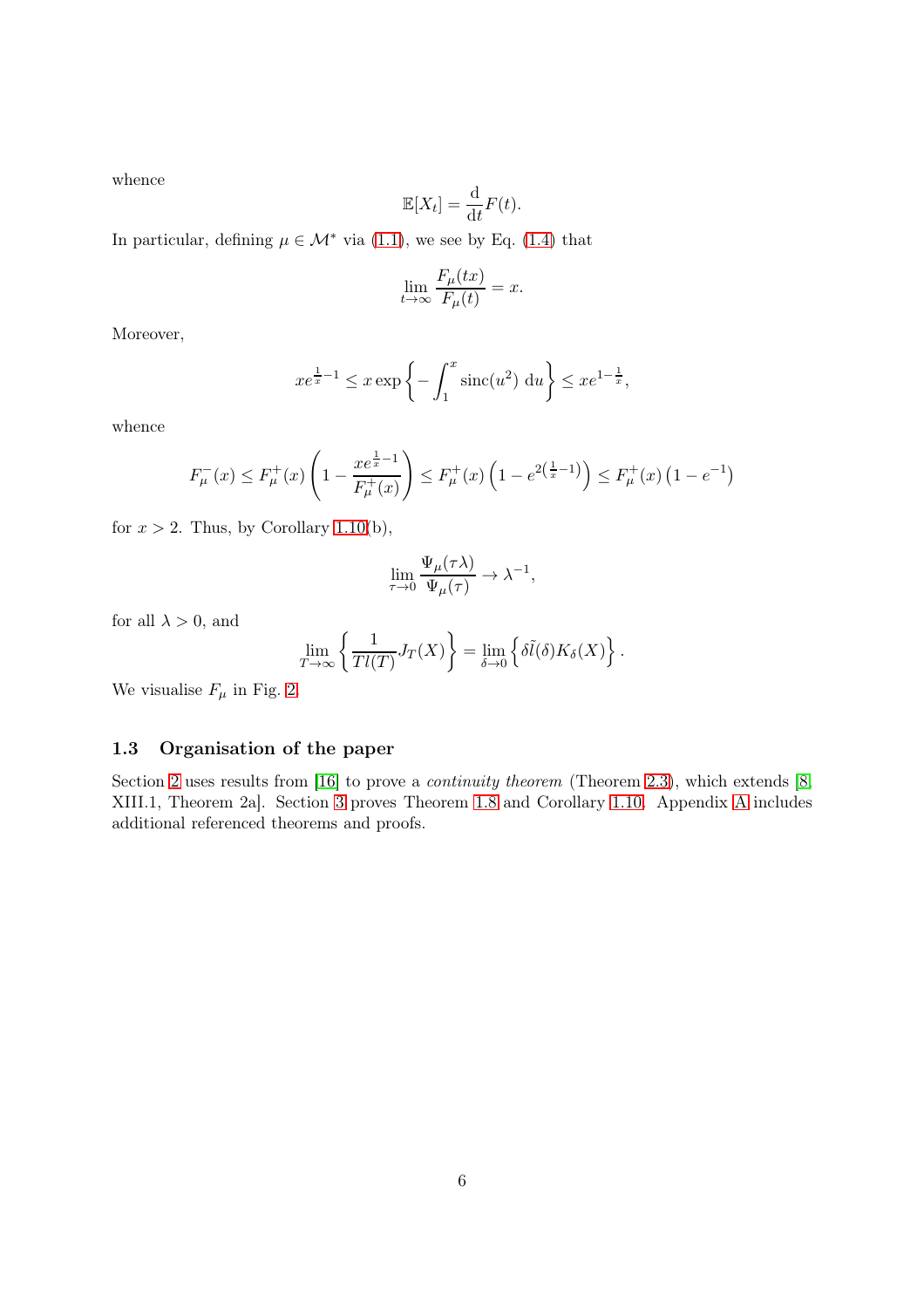whence

$$
\mathbb{E}[X_t] = \frac{\mathrm{d}}{\mathrm{d}t} F(t).
$$

In particular, defining  $\mu \in \mathcal{M}^*$  via [\(1.1\)](#page-2-4), we see by Eq. [\(1.4\)](#page-2-5) that

$$
\lim_{t \to \infty} \frac{F_{\mu}(tx)}{F_{\mu}(t)} = x.
$$

Moreover,

$$
xe^{\frac{1}{x}-1} \le x \exp\left\{-\int_1^x \operatorname{sinc}(u^2) \, \mathrm{d}u\right\} \le xe^{1-\frac{1}{x}},
$$

whence

$$
F_{\mu}^{-}(x) \le F_{\mu}^{+}(x) \left(1 - \frac{xe^{\frac{1}{x}-1}}{F_{\mu}^{+}(x)}\right) \le F_{\mu}^{+}(x) \left(1 - e^{2\left(\frac{1}{x}-1\right)}\right) \le F_{\mu}^{+}(x) \left(1 - e^{-1}\right)
$$

for  $x > 2$ . Thus, by Corollary [1.10\(](#page-4-3)b),

$$
\lim_{\tau \to 0} \frac{\Psi_{\mu}(\tau \lambda)}{\Psi_{\mu}(\tau)} \to \lambda^{-1},
$$

for all  $\lambda > 0$ , and

$$
\lim_{T \to \infty} \left\{ \frac{1}{T l(T)} J_T(X) \right\} = \lim_{\delta \to 0} \left\{ \delta \tilde{l}(\delta) K_{\delta}(X) \right\}.
$$

We visualise  $F_{\mu}$  in Fig. [2.](#page-6-0)

### 1.3 Organisation of the paper

Section [2](#page-7-0) uses results from [\[16\]](#page-13-0) to prove a *continuity theorem* (Theorem [2.3\)](#page-7-1), which extends [\[8,](#page-12-8) XIII.1, Theorem 2a]. Section [3](#page-9-0) proves Theorem [1.8](#page-3-4) and Corollary [1.10.](#page-4-3) Appendix [A](#page-11-0) includes additional referenced theorems and proofs.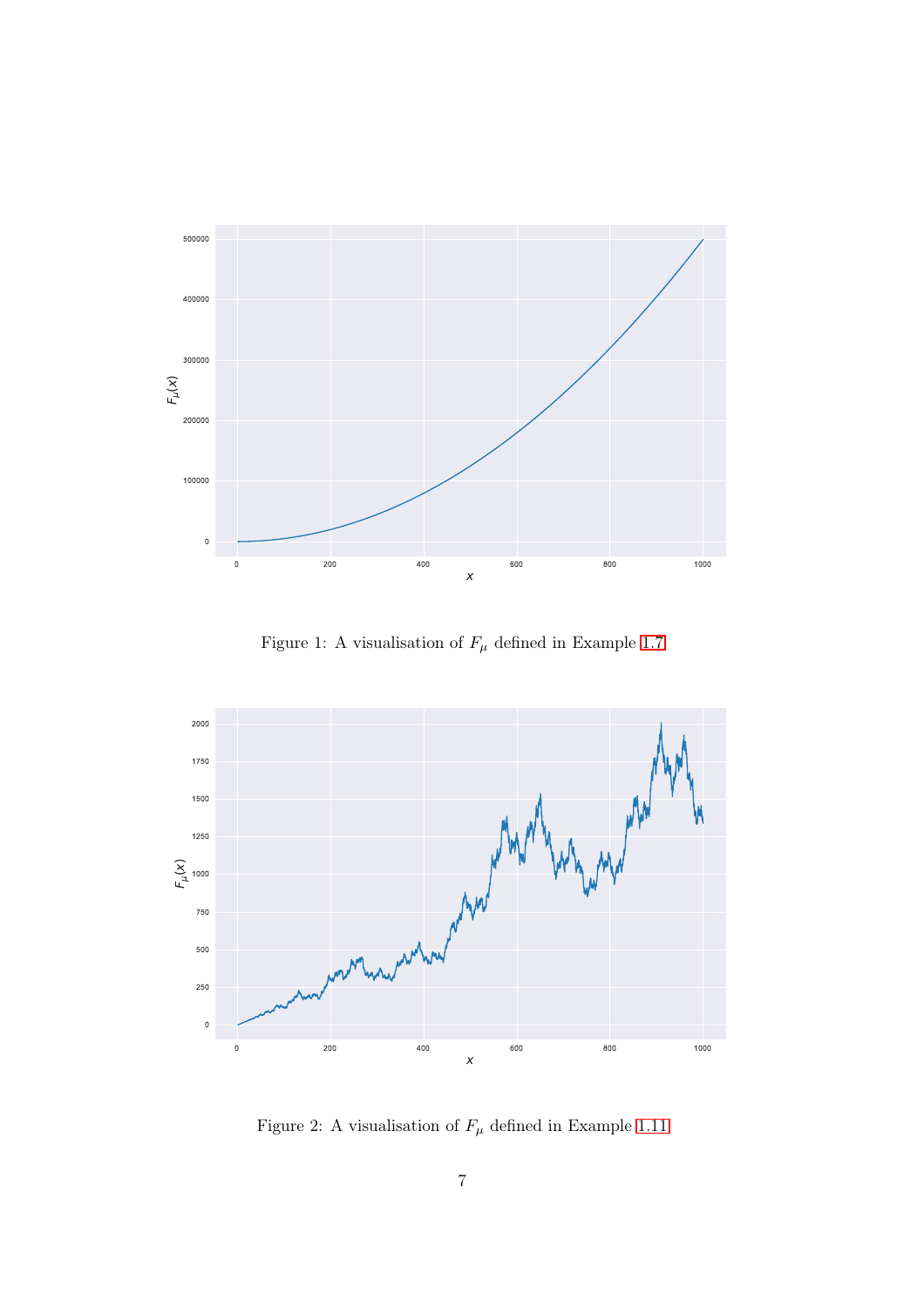

Figure 1: A visualisation of  $F_\mu$  defined in Example [1.7](#page-3-5)



<span id="page-6-0"></span>Figure 2: A visualisation of  $F_\mu$  defined in Example [1.11](#page-4-4)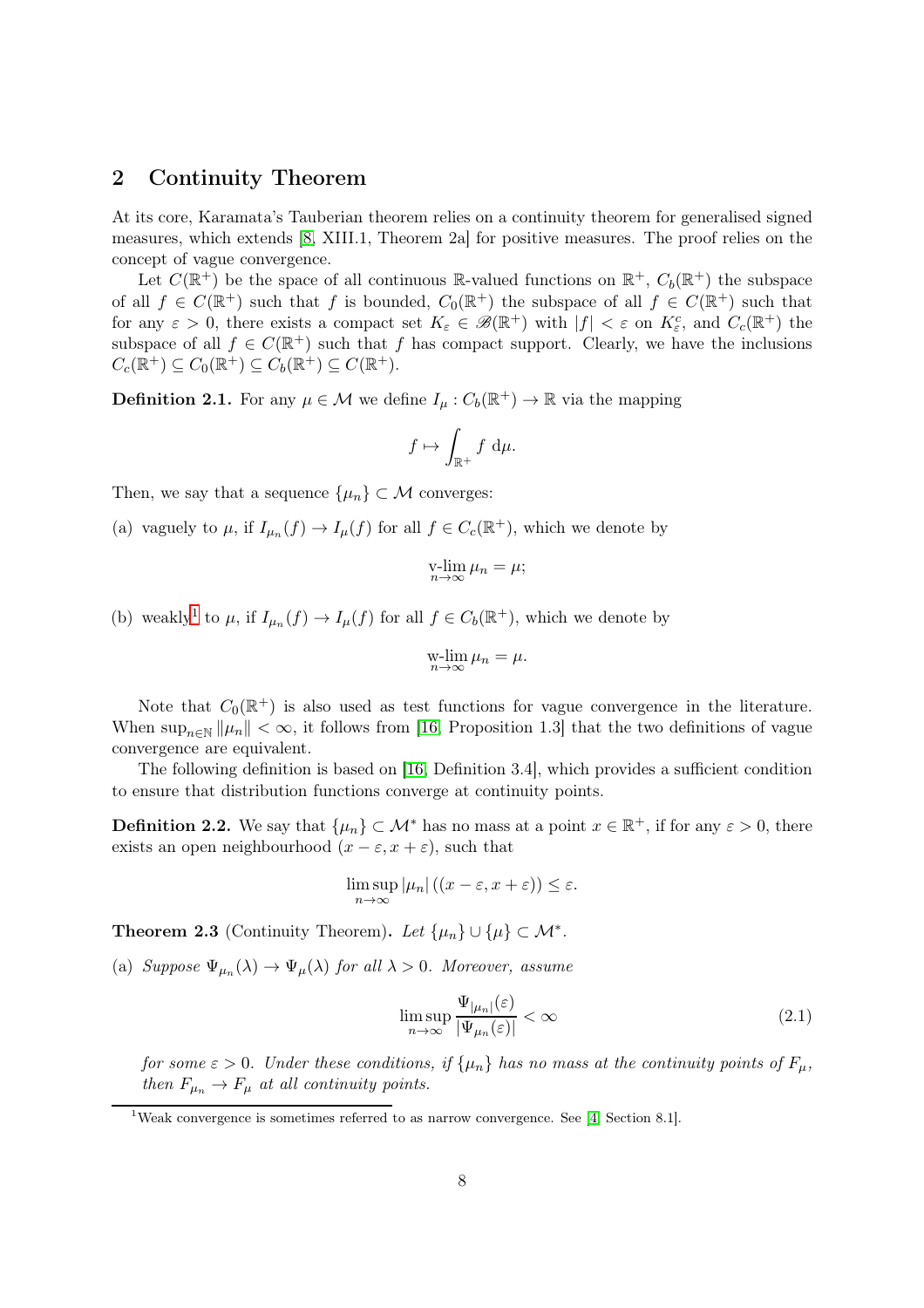### <span id="page-7-0"></span>2 Continuity Theorem

At its core, Karamata's Tauberian theorem relies on a continuity theorem for generalised signed measures, which extends [\[8,](#page-12-8) XIII.1, Theorem 2a] for positive measures. The proof relies on the concept of vague convergence.

Let  $C(\mathbb{R}^+)$  be the space of all continuous  $\mathbb{R}$ -valued functions on  $\mathbb{R}^+$ ,  $C_b(\mathbb{R}^+)$  the subspace of all  $f \in C(\mathbb{R}^+)$  such that f is bounded,  $C_0(\mathbb{R}^+)$  the subspace of all  $f \in C(\mathbb{R}^+)$  such that for any  $\varepsilon > 0$ , there exists a compact set  $K_{\varepsilon} \in \mathscr{B}(\mathbb{R}^+)$  with  $|f| < \varepsilon$  on  $K_{\varepsilon}^c$ , and  $C_c(\mathbb{R}^+)$  the subspace of all  $f \in C(\mathbb{R}^+)$  such that f has compact support. Clearly, we have the inclusions  $C_c(\mathbb{R}^+) \subseteq C_0(\mathbb{R}^+) \subseteq C_b(\mathbb{R}^+) \subseteq C(\mathbb{R}^+).$ 

**Definition 2.1.** For any  $\mu \in \mathcal{M}$  we define  $I_{\mu}: C_b(\mathbb{R}^+) \to \mathbb{R}$  via the mapping

$$
f \mapsto \int_{\mathbb{R}^+} f \, \mathrm{d}\mu.
$$

Then, we say that a sequence  $\{\mu_n\} \subset \mathcal{M}$  converges:

(a) vaguely to  $\mu$ , if  $I_{\mu_n}(f) \to I_{\mu}(f)$  for all  $f \in C_c(\mathbb{R}^+)$ , which we denote by

$$
\operatorname*{v-lim}_{n\to\infty}\mu_n=\mu;
$$

(b) weakly<sup>[1](#page-7-2)</sup> to  $\mu$ , if  $I_{\mu_n}(f) \to I_{\mu}(f)$  for all  $f \in C_b(\mathbb{R}^+)$ , which we denote by

$$
\operatorname*{w-lim}_{n\to\infty}\mu_n=\mu.
$$

Note that  $C_0(\mathbb{R}^+)$  is also used as test functions for vague convergence in the literature. When  $\sup_{n\in\mathbb{N}}\|\mu_n\| < \infty$ , it follows from [\[16,](#page-13-0) Proposition 1.3] that the two definitions of vague convergence are equivalent.

The following definition is based on [\[16,](#page-13-0) Definition 3.4], which provides a sufficient condition to ensure that distribution functions converge at continuity points.

**Definition 2.2.** We say that  $\{\mu_n\} \subset \mathcal{M}^*$  has no mass at a point  $x \in \mathbb{R}^+$ , if for any  $\varepsilon > 0$ , there exists an open neighbourhood  $(x - \varepsilon, x + \varepsilon)$ , such that

$$
\limsup_{n\to\infty} |\mu_n|((x-\varepsilon,x+\varepsilon)) \leq \varepsilon.
$$

<span id="page-7-1"></span>**Theorem 2.3** (Continuity Theorem). Let  $\{\mu_n\} \cup \{\mu\} \subset \mathcal{M}^*$ .

(a) Suppose  $\Psi_{\mu_n}(\lambda) \to \Psi_{\mu}(\lambda)$  for all  $\lambda > 0$ . Moreover, assume

<span id="page-7-3"></span>
$$
\limsup_{n \to \infty} \frac{\Psi_{|\mu_n|}(\varepsilon)}{|\Psi_{\mu_n}(\varepsilon)|} < \infty \tag{2.1}
$$

for some  $\varepsilon > 0$ . Under these conditions, if  $\{\mu_n\}$  has no mass at the continuity points of  $F_\mu$ , then  $F_{\mu_n} \to F_{\mu}$  at all continuity points.

<span id="page-7-2"></span><sup>&</sup>lt;sup>1</sup>Weak convergence is sometimes referred to as narrow convergence. See [\[4,](#page-12-11) Section 8.1].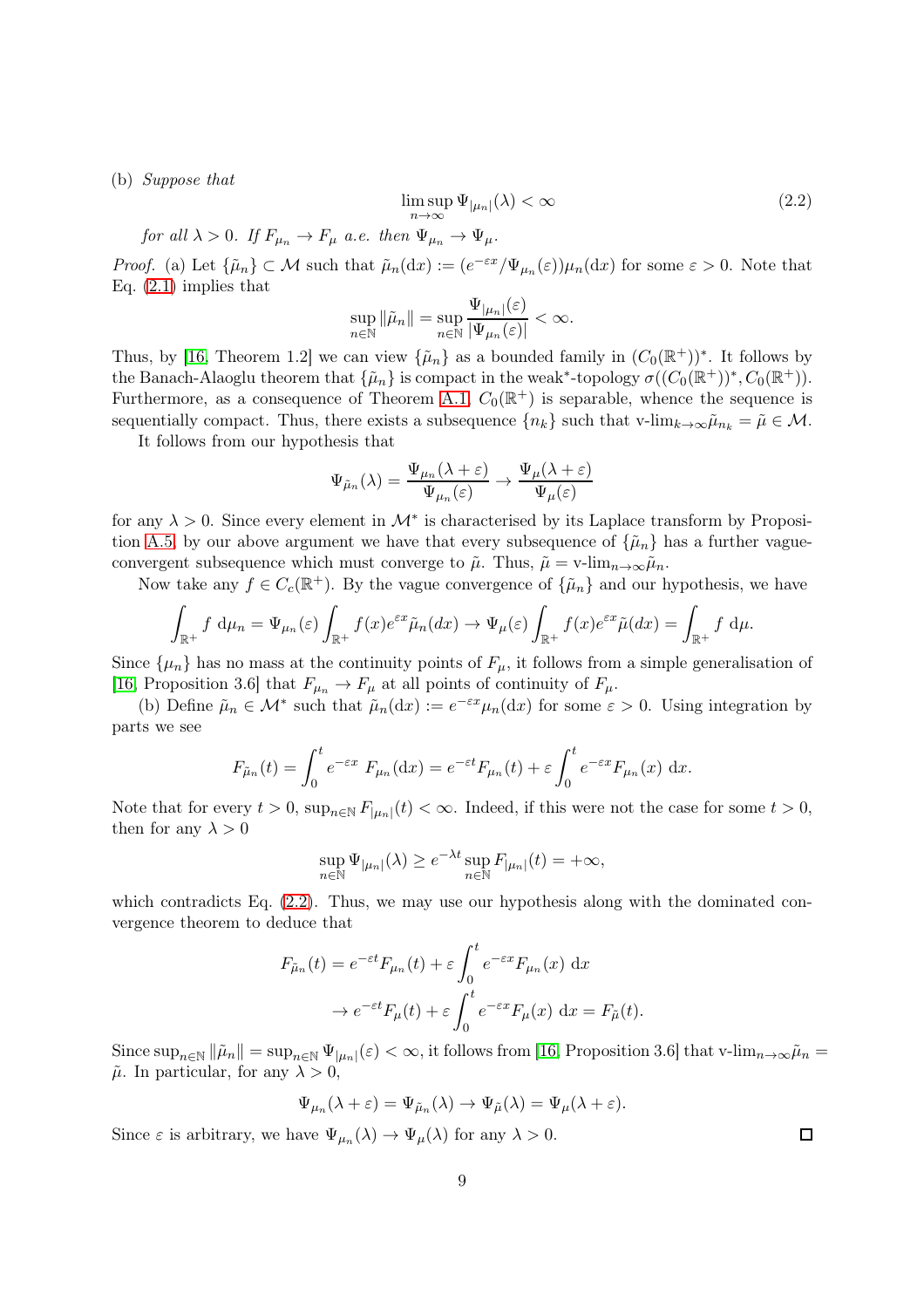(b) Suppose that

<span id="page-8-0"></span>
$$
\limsup_{n \to \infty} \Psi_{|\mu_n|}(\lambda) < \infty \tag{2.2}
$$

for all  $\lambda > 0$ . If  $F_{\mu_n} \to F_{\mu}$  a.e. then  $\Psi_{\mu_n} \to \Psi_{\mu}$ .

*Proof.* (a) Let  $\{\tilde{\mu}_n\} \subset \mathcal{M}$  such that  $\tilde{\mu}_n(dx) := (e^{-\varepsilon x}/\Psi_{\mu_n}(\varepsilon))\mu_n(dx)$  for some  $\varepsilon > 0$ . Note that Eq. [\(2.1\)](#page-7-3) implies that

$$
\sup_{n\in\mathbb{N}}\|\tilde{\mu}_n\|=\sup_{n\in\mathbb{N}}\frac{\Psi_{|\mu_n|}(\varepsilon)}{|\Psi_{\mu_n}(\varepsilon)|}<\infty.
$$

Thus, by [\[16,](#page-13-0) Theorem 1.2] we can view  $\{\tilde{\mu}_n\}$  as a bounded family in  $(C_0(\mathbb{R}^+))^*$ . It follows by the Banach-Alaoglu theorem that  $\{\tilde{\mu}_n\}$  is compact in the weak<sup>\*</sup>-topology  $\sigma((C_0(\mathbb{R}^+))^*, C_0(\mathbb{R}^+)).$ Furthermore, as a consequence of Theorem [A.1,](#page-11-1)  $C_0(\mathbb{R}^+)$  is separable, whence the sequence is sequentially compact. Thus, there exists a subsequence  ${n_k}$  such that v-lim $_{k\to\infty}\tilde{\mu}_{n_k} = \tilde{\mu} \in \mathcal{M}$ .

It follows from our hypothesis that

$$
\Psi_{\tilde{\mu}_n}(\lambda) = \frac{\Psi_{\mu_n}(\lambda + \varepsilon)}{\Psi_{\mu_n}(\varepsilon)} \to \frac{\Psi_{\mu}(\lambda + \varepsilon)}{\Psi_{\mu}(\varepsilon)}
$$

for any  $\lambda > 0$ . Since every element in  $\mathcal{M}^*$  is characterised by its Laplace transform by Proposi-tion [A.5,](#page-11-2) by our above argument we have that every subsequence of  $\{\tilde{\mu}_n\}$  has a further vagueconvergent subsequence which must converge to  $\tilde{\mu}$ . Thus,  $\tilde{\mu} = \text{v-lim}_{n \to \infty} \tilde{\mu}_n$ .

Now take any  $f \in C_c(\mathbb{R}^+)$ . By the vague convergence of  $\{\tilde{\mu}_n\}$  and our hypothesis, we have

$$
\int_{\mathbb{R}^+} f \, d\mu_n = \Psi_{\mu_n}(\varepsilon) \int_{\mathbb{R}^+} f(x) e^{\varepsilon x} \tilde{\mu}_n(dx) \to \Psi_{\mu}(\varepsilon) \int_{\mathbb{R}^+} f(x) e^{\varepsilon x} \tilde{\mu}(dx) = \int_{\mathbb{R}^+} f \, d\mu.
$$

Since  $\{\mu_n\}$  has no mass at the continuity points of  $F_\mu$ , it follows from a simple generalisation of [\[16,](#page-13-0) Proposition 3.6] that  $F_{\mu_n} \to F_{\mu}$  at all points of continuity of  $F_{\mu}$ .

(b) Define  $\tilde{\mu}_n \in \mathcal{M}^*$  such that  $\tilde{\mu}_n(dx) := e^{-\varepsilon x} \mu_n(dx)$  for some  $\varepsilon > 0$ . Using integration by parts we see

$$
F_{\tilde{\mu}_n}(t) = \int_0^t e^{-\varepsilon x} F_{\mu_n}(\mathrm{d}x) = e^{-\varepsilon t} F_{\mu_n}(t) + \varepsilon \int_0^t e^{-\varepsilon x} F_{\mu_n}(x) \, \mathrm{d}x.
$$

Note that for every  $t > 0$ ,  $\sup_{n \in \mathbb{N}} F_{|\mu_n|}(t) < \infty$ . Indeed, if this were not the case for some  $t > 0$ , then for any  $\lambda > 0$ 

$$
\sup_{n\in\mathbb{N}}\Psi_{|\mu_n|}(\lambda)\geq e^{-\lambda t}\sup_{n\in\mathbb{N}}F_{|\mu_n|}(t)=+\infty,
$$

which contradicts Eq.  $(2.2)$ . Thus, we may use our hypothesis along with the dominated convergence theorem to deduce that

$$
F_{\tilde{\mu}_n}(t) = e^{-\varepsilon t} F_{\mu_n}(t) + \varepsilon \int_0^t e^{-\varepsilon x} F_{\mu_n}(x) dx
$$
  

$$
\to e^{-\varepsilon t} F_{\mu}(t) + \varepsilon \int_0^t e^{-\varepsilon x} F_{\mu}(x) dx = F_{\tilde{\mu}}(t).
$$

Since  $\sup_{n\in\mathbb{N}}\|\tilde{\mu}_n\|=\sup_{n\in\mathbb{N}}\Psi_{|\mu_n|}(\varepsilon)<\infty$ , it follows from [\[16,](#page-13-0) Proposition 3.6] that v-lim $_{n\to\infty}\tilde{\mu}_n=$  $\tilde{\mu}$ . In particular, for any  $\lambda > 0$ ,

$$
\Psi_{\mu_n}(\lambda + \varepsilon) = \Psi_{\tilde{\mu}_n}(\lambda) \to \Psi_{\tilde{\mu}}(\lambda) = \Psi_{\mu}(\lambda + \varepsilon).
$$

Since  $\varepsilon$  is arbitrary, we have  $\Psi_{\mu_n}(\lambda) \to \Psi_{\mu}(\lambda)$  for any  $\lambda > 0$ .

 $\Box$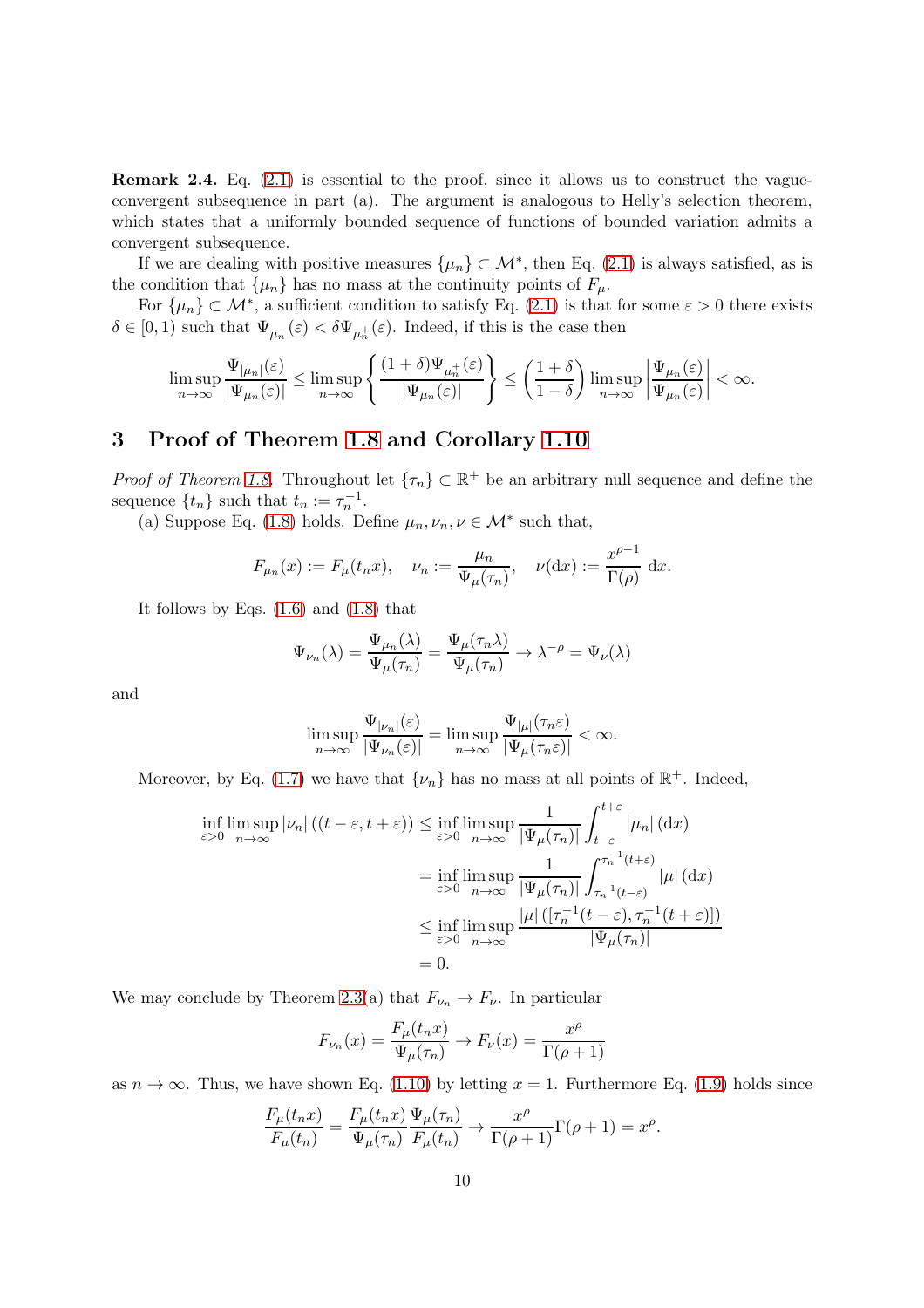Remark 2.4. Eq. [\(2.1\)](#page-7-3) is essential to the proof, since it allows us to construct the vagueconvergent subsequence in part (a). The argument is analogous to Helly's selection theorem, which states that a uniformly bounded sequence of functions of bounded variation admits a convergent subsequence.

If we are dealing with positive measures  $\{\mu_n\} \subset \mathcal{M}^*$ , then Eq. [\(2.1\)](#page-7-3) is always satisfied, as is the condition that  $\{\mu_n\}$  has no mass at the continuity points of  $F_\mu$ .

For  $\{\mu_n\} \subset \mathcal{M}^*$ , a sufficient condition to satisfy Eq. [\(2.1\)](#page-7-3) is that for some  $\varepsilon > 0$  there exists  $\delta \in [0,1)$  such that  $\Psi_{\mu_n^{-}}(\varepsilon) < \delta \Psi_{\mu_n^{+}}(\varepsilon)$ . Indeed, if this is the case then

$$
\limsup_{n\to\infty}\frac{\Psi_{|\mu_n|}(\varepsilon)}{|\Psi_{\mu_n}(\varepsilon)|}\leq \limsup_{n\to\infty}\left\{\frac{(1+\delta)\Psi_{\mu_n^+}(\varepsilon)}{|\Psi_{\mu_n}(\varepsilon)|}\right\}\leq \left(\frac{1+\delta}{1-\delta}\right)\limsup_{n\to\infty}\left|\frac{\Psi_{\mu_n}(\varepsilon)}{\Psi_{\mu_n}(\varepsilon)}\right|<\infty.
$$

# <span id="page-9-0"></span>3 Proof of Theorem [1.8](#page-3-4) and Corollary [1.10](#page-4-3)

*Proof of Theorem [1.8.](#page-3-4)* Throughout let  $\{\tau_n\} \subset \mathbb{R}^+$  be an arbitrary null sequence and define the sequence  $\{t_n\}$  such that  $t_n := \tau_n^{-1}$ .

(a) Suppose Eq. [\(1.8\)](#page-3-1) holds. Define  $\mu_n, \nu_n, \nu \in \mathcal{M}^*$  such that,

$$
F_{\mu_n}(x) := F_{\mu}(t_n x), \quad \nu_n := \frac{\mu_n}{\Psi_{\mu}(\tau_n)}, \quad \nu(\mathrm{d}x) := \frac{x^{\rho-1}}{\Gamma(\rho)} \mathrm{d}x.
$$

It follows by Eqs. [\(1.6\)](#page-3-2) and [\(1.8\)](#page-3-1) that

$$
\Psi_{\nu_n}(\lambda) = \frac{\Psi_{\mu_n}(\lambda)}{\Psi_{\mu}(\tau_n)} = \frac{\Psi_{\mu}(\tau_n \lambda)}{\Psi_{\mu}(\tau_n)} \to \lambda^{-\rho} = \Psi_{\nu}(\lambda)
$$

and

$$
\limsup_{n\to\infty}\frac{\Psi_{|\nu_n|}(\varepsilon)}{|\Psi_{\nu_n}(\varepsilon)|}=\limsup_{n\to\infty}\frac{\Psi_{|\mu|}(\tau_n\varepsilon)}{|\Psi_{\mu}(\tau_n\varepsilon)|}<\infty.
$$

Moreover, by Eq. [\(1.7\)](#page-3-3) we have that  $\{\nu_n\}$  has no mass at all points of  $\mathbb{R}^+$ . Indeed,

$$
\inf_{\varepsilon>0} \limsup_{n \to \infty} |\nu_n| \left( (t - \varepsilon, t + \varepsilon) \right) \le \inf_{\varepsilon>0} \limsup_{n \to \infty} \frac{1}{|\Psi_\mu(\tau_n)|} \int_{t-\varepsilon}^{t+\varepsilon} |\mu_n| \,(\mathrm{d}x)
$$
\n
$$
= \inf_{\varepsilon>0} \limsup_{n \to \infty} \frac{1}{|\Psi_\mu(\tau_n)|} \int_{\tau_n^{-1}(t-\varepsilon)}^{\tau_n^{-1}(t+\varepsilon)} |\mu| \,(\mathrm{d}x)
$$
\n
$$
\le \inf_{\varepsilon>0} \limsup_{n \to \infty} \frac{|\mu| \left( [\tau_n^{-1}(t-\varepsilon), \tau_n^{-1}(t+\varepsilon)] \right)}{|\Psi_\mu(\tau_n)|}
$$
\n
$$
= 0.
$$

We may conclude by Theorem [2.3\(](#page-7-1)a) that  $F_{\nu_n} \to F_{\nu}$ . In particular

$$
F_{\nu_n}(x) = \frac{F_\mu(t_n x)}{\Psi_\mu(\tau_n)} \to F_\nu(x) = \frac{x^\rho}{\Gamma(\rho+1)}
$$

as  $n \to \infty$ . Thus, we have shown Eq. [\(1.10\)](#page-4-1) by letting  $x = 1$ . Furthermore Eq. [\(1.9\)](#page-4-0) holds since

$$
\frac{F_{\mu}(t_n x)}{F_{\mu}(t_n)} = \frac{F_{\mu}(t_n x)}{\Psi_{\mu}(\tau_n)} \frac{\Psi_{\mu}(\tau_n)}{F_{\mu}(t_n)} \longrightarrow \frac{x^{\rho}}{\Gamma(\rho+1)} \Gamma(\rho+1) = x^{\rho}.
$$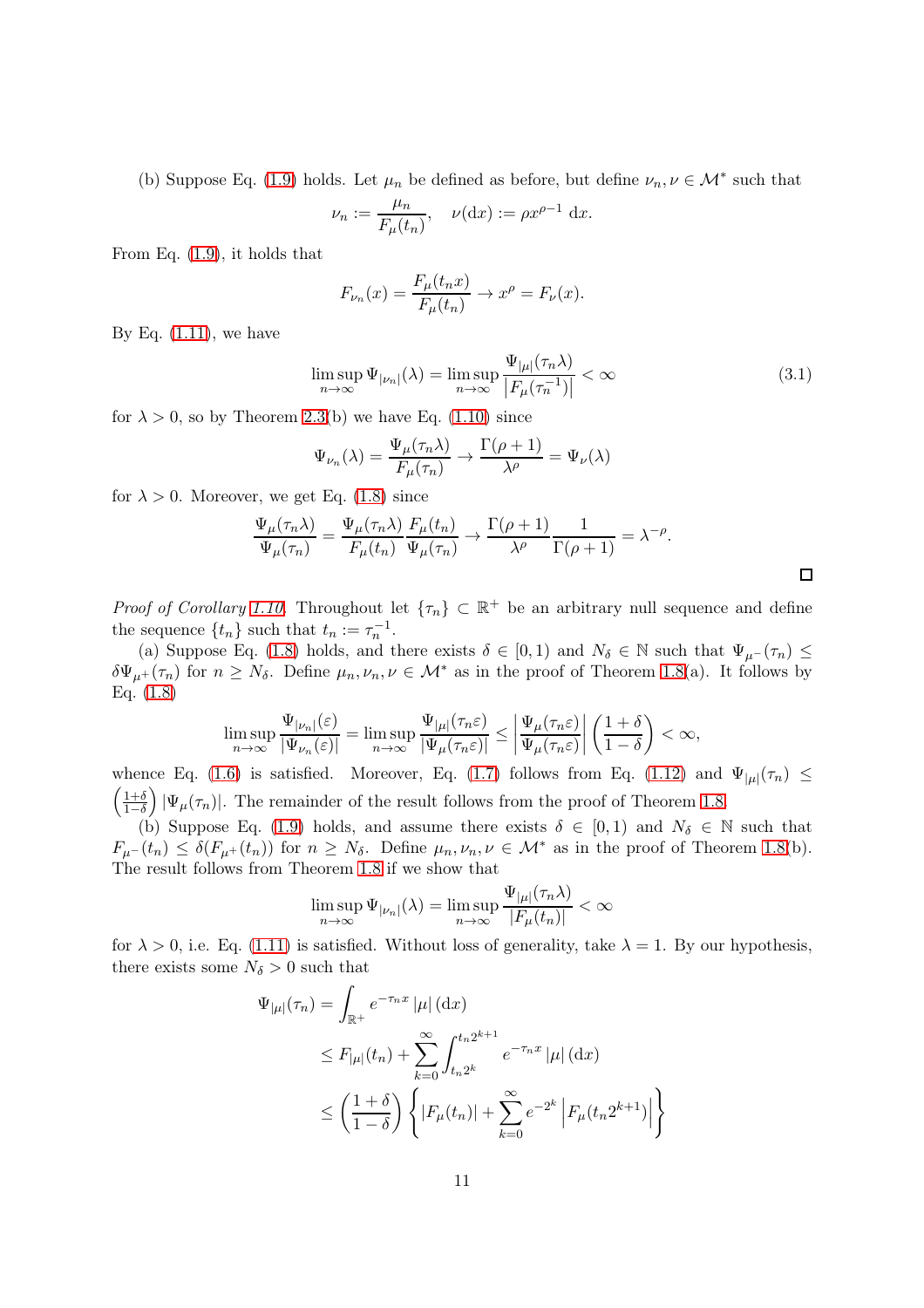(b) Suppose Eq. [\(1.9\)](#page-4-0) holds. Let  $\mu_n$  be defined as before, but define  $\nu_n, \nu \in \mathcal{M}^*$  such that

$$
\nu_n := \frac{\mu_n}{F_\mu(t_n)}, \quad \nu(\mathrm{d}x) := \rho x^{\rho-1} \mathrm{d}x.
$$

From Eq. [\(1.9\)](#page-4-0), it holds that

$$
F_{\nu_n}(x) = \frac{F_\mu(t_n x)}{F_\mu(t_n)} \to x^\rho = F_\nu(x).
$$

By Eq.  $(1.11)$ , we have

$$
\limsup_{n \to \infty} \Psi_{|\nu_n|}(\lambda) = \limsup_{n \to \infty} \frac{\Psi_{|\mu|}(\tau_n \lambda)}{|F_{\mu}(\tau_n^{-1})|} < \infty
$$
\n(3.1)

for  $\lambda > 0$ , so by Theorem [2.3\(](#page-7-1)b) we have Eq. [\(1.10\)](#page-4-1) since

$$
\Psi_{\nu_n}(\lambda) = \frac{\Psi_{\mu}(\tau_n \lambda)}{F_{\mu}(\tau_n)} \to \frac{\Gamma(\rho + 1)}{\lambda^{\rho}} = \Psi_{\nu}(\lambda)
$$

for  $\lambda > 0$ . Moreover, we get Eq. [\(1.8\)](#page-3-1) since

$$
\frac{\Psi_{\mu}(\tau_n \lambda)}{\Psi_{\mu}(\tau_n)} = \frac{\Psi_{\mu}(\tau_n \lambda)}{F_{\mu}(t_n)} \frac{F_{\mu}(t_n)}{\Psi_{\mu}(\tau_n)} \to \frac{\Gamma(\rho+1)}{\lambda^{\rho}} \frac{1}{\Gamma(\rho+1)} = \lambda^{-\rho}.
$$

*Proof of Corollary [1.10.](#page-4-3)* Throughout let  $\{\tau_n\} \subset \mathbb{R}^+$  be an arbitrary null sequence and define the sequence  $\{t_n\}$  such that  $t_n := \tau_n^{-1}$ .

(a) Suppose Eq. [\(1.8\)](#page-3-1) holds, and there exists  $\delta \in [0,1)$  and  $N_{\delta} \in \mathbb{N}$  such that  $\Psi_{\mu}(\tau_n) \leq$  $\delta\Psi_{\mu^+}(\tau_n)$  for  $n \geq N_\delta$ . Define  $\mu_n, \nu_n, \nu \in \mathcal{M}^*$  as in the proof of Theorem [1.8\(](#page-3-4)a). It follows by Eq. [\(1.8\)](#page-3-1)

$$
\limsup_{n\to\infty}\frac{\Psi_{|\nu_n|}(\varepsilon)}{|\Psi_{\nu_n}(\varepsilon)|}=\limsup_{n\to\infty}\frac{\Psi_{|\mu|}(\tau_n\varepsilon)}{|\Psi_{\mu}(\tau_n\varepsilon)|}\leq \left|\frac{\Psi_{\mu}(\tau_n\varepsilon)}{\Psi_{\mu}(\tau_n\varepsilon)}\right|\left(\frac{1+\delta}{1-\delta}\right)<\infty,
$$

whence Eq. [\(1.6\)](#page-3-2) is satisfied. Moreover, Eq. [\(1.7\)](#page-3-3) follows from Eq. [\(1.12\)](#page-4-5) and  $\Psi_{|\mu|}(\tau_n) \leq$  $\left(1+\delta\right)$  $\frac{1+\delta}{1-\delta}$  | $\Psi_{\mu}(\tau_n)$ . The remainder of the result follows from the proof of Theorem [1.8.](#page-3-4)

(b) Suppose Eq. [\(1.9\)](#page-4-0) holds, and assume there exists  $\delta \in [0,1)$  and  $N_{\delta} \in \mathbb{N}$  such that  $F_{\mu^-}(t_n) \leq \delta(F_{\mu^+}(t_n))$  for  $n \geq N_\delta$ . Define  $\mu_n, \nu_n, \nu \in \mathcal{M}^*$  as in the proof of Theorem [1.8\(](#page-3-4)b). The result follows from Theorem [1.8](#page-3-4) if we show that

$$
\limsup_{n \to \infty} \Psi_{|\nu_n|}(\lambda) = \limsup_{n \to \infty} \frac{\Psi_{|\mu|}(\tau_n \lambda)}{|F_{\mu}(t_n)|} < \infty
$$

for  $\lambda > 0$ , i.e. Eq. [\(1.11\)](#page-4-2) is satisfied. Without loss of generality, take  $\lambda = 1$ . By our hypothesis, there exists some  $N_{\delta} > 0$  such that

$$
\Psi_{|\mu|}(\tau_n) = \int_{\mathbb{R}^+} e^{-\tau_n x} |\mu| \,(\mathrm{d}x)
$$
\n
$$
\leq F_{|\mu|}(t_n) + \sum_{k=0}^{\infty} \int_{t_n 2^k}^{t_n 2^{k+1}} e^{-\tau_n x} |\mu| \,(\mathrm{d}x)
$$
\n
$$
\leq \left(\frac{1+\delta}{1-\delta}\right) \left\{ |F_{\mu}(t_n)| + \sum_{k=0}^{\infty} e^{-2^k} |F_{\mu}(t_n 2^{k+1})| \right\}
$$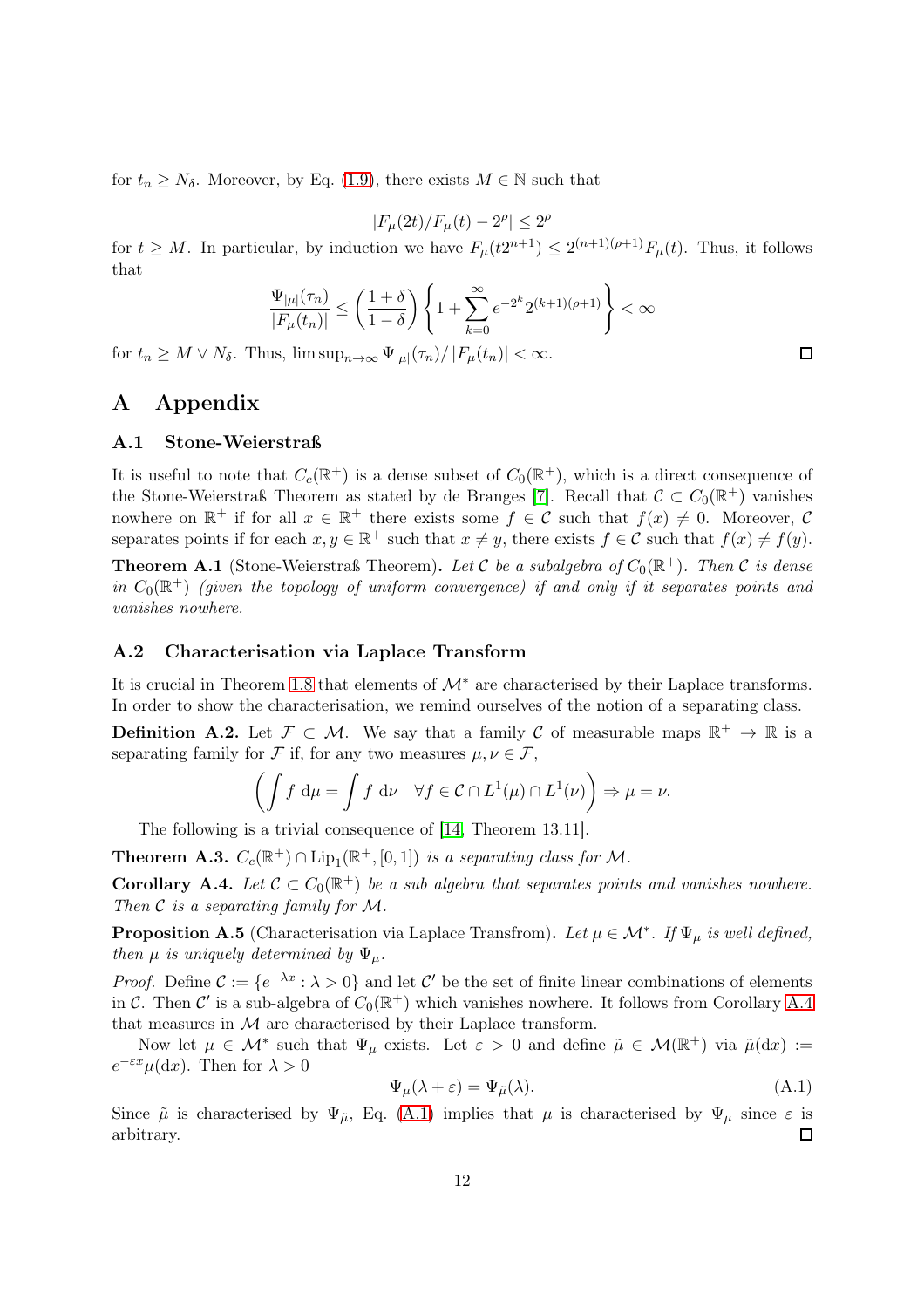for  $t_n \geq N_\delta$ . Moreover, by Eq. [\(1.9\)](#page-4-0), there exists  $M \in \mathbb{N}$  such that

$$
|F_{\mu}(2t)/F_{\mu}(t)-2^{\rho}|\leq 2^{\rho}
$$

for  $t \geq M$ . In particular, by induction we have  $F_{\mu}(t2^{n+1}) \leq 2^{(n+1)(\rho+1)}F_{\mu}(t)$ . Thus, it follows that

$$
\frac{\Psi_{|\mu|}(\tau_n)}{|F_{\mu}(t_n)|} \le \left(\frac{1+\delta}{1-\delta}\right) \left\{1+\sum_{k=0}^{\infty}e^{-2^k}2^{(k+1)(\rho+1)}\right\} < \infty
$$

for  $t_n \geq M \vee N_\delta$ . Thus,  $\limsup_{n \to \infty} \Psi_{|\mu|}(\tau_n) / |F_{\mu}(t_n)| < \infty$ .

# <span id="page-11-0"></span>A Appendix

### A.1 Stone-Weierstraß

It is useful to note that  $C_c(\mathbb{R}^+)$  is a dense subset of  $C_0(\mathbb{R}^+)$ , which is a direct consequence of the Stone-Weierstraß Theorem as stated by de Branges [\[7\]](#page-12-12). Recall that  $\mathcal{C} \subset C_0(\mathbb{R}^+)$  vanishes nowhere on  $\mathbb{R}^+$  if for all  $x \in \mathbb{R}^+$  there exists some  $f \in \mathcal{C}$  such that  $f(x) \neq 0$ . Moreover,  $\mathcal{C}$ separates points if for each  $x, y \in \mathbb{R}^+$  such that  $x \neq y$ , there exists  $f \in \mathcal{C}$  such that  $f(x) \neq f(y)$ .

<span id="page-11-1"></span>**Theorem A.1** (Stone-Weierstraß Theorem). Let C be a subalgebra of  $C_0(\mathbb{R}^+)$ . Then C is dense in  $C_0(\mathbb{R}^+)$  (given the topology of uniform convergence) if and only if it separates points and vanishes nowhere.

### A.2 Characterisation via Laplace Transform

It is crucial in Theorem [1.8](#page-3-4) that elements of  $\mathcal{M}^*$  are characterised by their Laplace transforms. In order to show the characterisation, we remind ourselves of the notion of a separating class.

**Definition A.2.** Let  $\mathcal{F} \subset \mathcal{M}$ . We say that a family C of measurable maps  $\mathbb{R}^+ \to \mathbb{R}$  is a separating family for F if, for any two measures  $\mu, \nu \in \mathcal{F}$ ,

$$
\left(\int f \, \mathrm{d}\mu = \int f \, \mathrm{d}\nu \quad \forall f \in \mathcal{C} \cap L^1(\mu) \cap L^1(\nu)\right) \Rightarrow \mu = \nu.
$$

The following is a trivial consequence of [\[14,](#page-13-3) Theorem 13.11].

<span id="page-11-3"></span>**Theorem A.3.**  $C_c(\mathbb{R}^+) \cap \text{Lip}_1(\mathbb{R}^+, [0,1])$  is a separating class for M.

**Corollary A.4.** Let  $C \subset C_0(\mathbb{R}^+)$  be a sub algebra that separates points and vanishes nowhere. Then  $\mathcal C$  is a separating family for  $\mathcal M$ .

<span id="page-11-2"></span>**Proposition A.5** (Characterisation via Laplace Transfrom). Let  $\mu \in \mathcal{M}^*$ . If  $\Psi_{\mu}$  is well defined, then  $\mu$  is uniquely determined by  $\Psi_{\mu}$ .

*Proof.* Define  $C := \{e^{-\lambda x} : \lambda > 0\}$  and let C' be the set of finite linear combinations of elements in C. Then C' is a sub-algebra of  $C_0(\mathbb{R}^+)$  which vanishes nowhere. It follows from Corollary [A.4](#page-11-3) that measures in  $M$  are characterised by their Laplace transform.

Now let  $\mu \in \mathcal{M}^*$  such that  $\Psi_{\mu}$  exists. Let  $\varepsilon > 0$  and define  $\tilde{\mu} \in \mathcal{M}(\mathbb{R}^+)$  via  $\tilde{\mu}(\mathrm{d}x) :=$  $e^{-\varepsilon x}\mu(\mathrm{d}x)$ . Then for  $\lambda > 0$ 

<span id="page-11-4"></span>
$$
\Psi_{\mu}(\lambda + \varepsilon) = \Psi_{\tilde{\mu}}(\lambda). \tag{A.1}
$$

Since  $\tilde{\mu}$  is characterised by  $\Psi_{\tilde{\mu}}$ , Eq. [\(A.1\)](#page-11-4) implies that  $\mu$  is characterised by  $\Psi_{\mu}$  since  $\varepsilon$  is arbitrary.  $\Box$ 

 $\Box$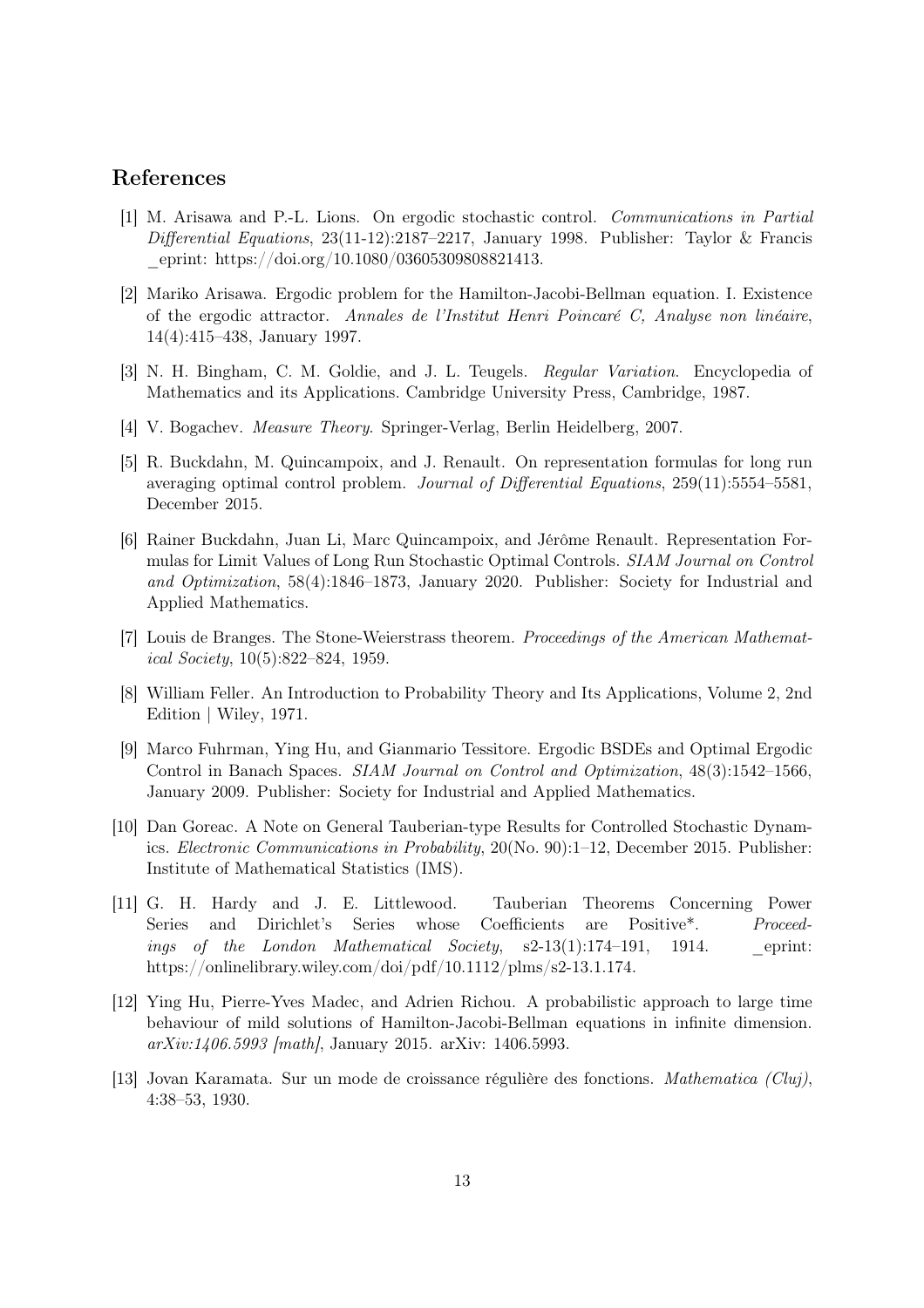# <span id="page-12-0"></span>References

- [1] M. Arisawa and P.-L. Lions. On ergodic stochastic control. Communications in Partial  $Differential\ Equation$   $S$ , 23(11-12):2187–2217, January 1998. Publisher: Taylor & Francis \_eprint: https://doi.org/10.1080/03605309808821413.
- <span id="page-12-1"></span>[2] Mariko Arisawa. Ergodic problem for the Hamilton-Jacobi-Bellman equation. I. Existence of the ergodic attractor. Annales de l'Institut Henri Poincaré C, Analyse non linéaire, 14(4):415–438, January 1997.
- <span id="page-12-11"></span><span id="page-12-10"></span>[3] N. H. Bingham, C. M. Goldie, and J. L. Teugels. Regular Variation. Encyclopedia of Mathematics and its Applications. Cambridge University Press, Cambridge, 1987.
- <span id="page-12-4"></span>[4] V. Bogachev. Measure Theory. Springer-Verlag, Berlin Heidelberg, 2007.
- [5] R. Buckdahn, M. Quincampoix, and J. Renault. On representation formulas for long run averaging optimal control problem. Journal of Differential Equations, 259(11):5554–5581, December 2015.
- <span id="page-12-5"></span>[6] Rainer Buckdahn, Juan Li, Marc Quincampoix, and Jérôme Renault. Representation Formulas for Limit Values of Long Run Stochastic Optimal Controls. SIAM Journal on Control and Optimization, 58(4):1846–1873, January 2020. Publisher: Society for Industrial and Applied Mathematics.
- <span id="page-12-12"></span>[7] Louis de Branges. The Stone-Weierstrass theorem. Proceedings of the American Mathematical Society, 10(5):822–824, 1959.
- <span id="page-12-8"></span>[8] William Feller. An Introduction to Probability Theory and Its Applications, Volume 2, 2nd Edition | Wiley, 1971.
- <span id="page-12-3"></span>[9] Marco Fuhrman, Ying Hu, and Gianmario Tessitore. Ergodic BSDEs and Optimal Ergodic Control in Banach Spaces. SIAM Journal on Control and Optimization, 48(3):1542–1566, January 2009. Publisher: Society for Industrial and Applied Mathematics.
- <span id="page-12-6"></span>[10] Dan Goreac. A Note on General Tauberian-type Results for Controlled Stochastic Dynamics. Electronic Communications in Probability, 20(No. 90):1–12, December 2015. Publisher: Institute of Mathematical Statistics (IMS).
- <span id="page-12-9"></span>[11] G. H. Hardy and J. E. Littlewood. Tauberian Theorems Concerning Power Series and Dirichlet's Series whose Coefficients are Positive\*. Proceedings of the London Mathematical Society,  $s2-13(1):174-191$ , 1914. eprint: https://onlinelibrary.wiley.com/doi/pdf/10.1112/plms/s2-13.1.174.
- <span id="page-12-2"></span>[12] Ying Hu, Pierre-Yves Madec, and Adrien Richou. A probabilistic approach to large time behaviour of mild solutions of Hamilton-Jacobi-Bellman equations in infinite dimension. arXiv:1406.5993 [math], January 2015. arXiv: 1406.5993.
- <span id="page-12-7"></span>[13] Jovan Karamata. Sur un mode de croissance régulière des fonctions. Mathematica (Cluj), 4:38–53, 1930.